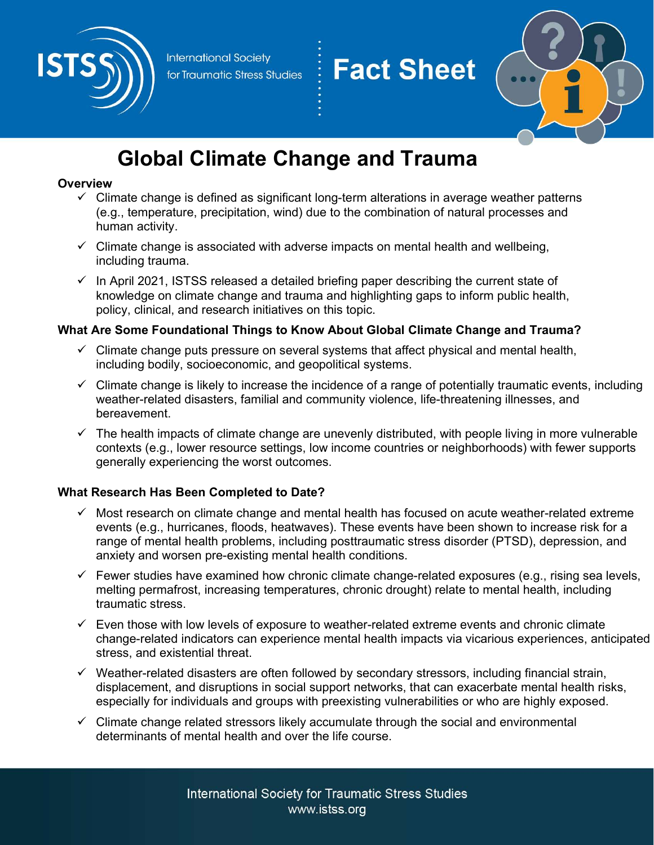



# Global Climate Change and Trauma

#### **Overview**

- $\checkmark$  Climate change is defined as significant long-term alterations in average weather patterns (e.g., temperature, precipitation, wind) due to the combination of natural processes and human activity.
- $\checkmark$  Climate change is associated with adverse impacts on mental health and wellbeing, including trauma.
- $\checkmark$  In April 2021, ISTSS released a detailed briefing paper describing the current state of knowledge on climate change and trauma and highlighting gaps to inform public health, policy, clinical, and research initiatives on this topic.

## What Are Some Foundational Things to Know About Global Climate Change and Trauma?

- $\checkmark$  Climate change puts pressure on several systems that affect physical and mental health, including bodily, socioeconomic, and geopolitical systems.
- $\checkmark$  Climate change is likely to increase the incidence of a range of potentially traumatic events, including weather-related disasters, familial and community violence, life-threatening illnesses, and bereavement.
- $\checkmark$  The health impacts of climate change are unevenly distributed, with people living in more vulnerable contexts (e.g., lower resource settings, low income countries or neighborhoods) with fewer supports generally experiencing the worst outcomes.

## What Research Has Been Completed to Date?

- $\checkmark$  Most research on climate change and mental health has focused on acute weather-related extreme events (e.g., hurricanes, floods, heatwaves). These events have been shown to increase risk for a range of mental health problems, including posttraumatic stress disorder (PTSD), depression, and anxiety and worsen pre-existing mental health conditions.
- $\checkmark$  Fewer studies have examined how chronic climate change-related exposures (e.g., rising sea levels, melting permafrost, increasing temperatures, chronic drought) relate to mental health, including traumatic stress.
- $\checkmark$  Even those with low levels of exposure to weather-related extreme events and chronic climate change-related indicators can experience mental health impacts via vicarious experiences, anticipated stress, and existential threat.
- $\checkmark$  Weather-related disasters are often followed by secondary stressors, including financial strain, displacement, and disruptions in social support networks, that can exacerbate mental health risks, especially for individuals and groups with preexisting vulnerabilities or who are highly exposed.
- $\checkmark$  Climate change related stressors likely accumulate through the social and environmental determinants of mental health and over the life course.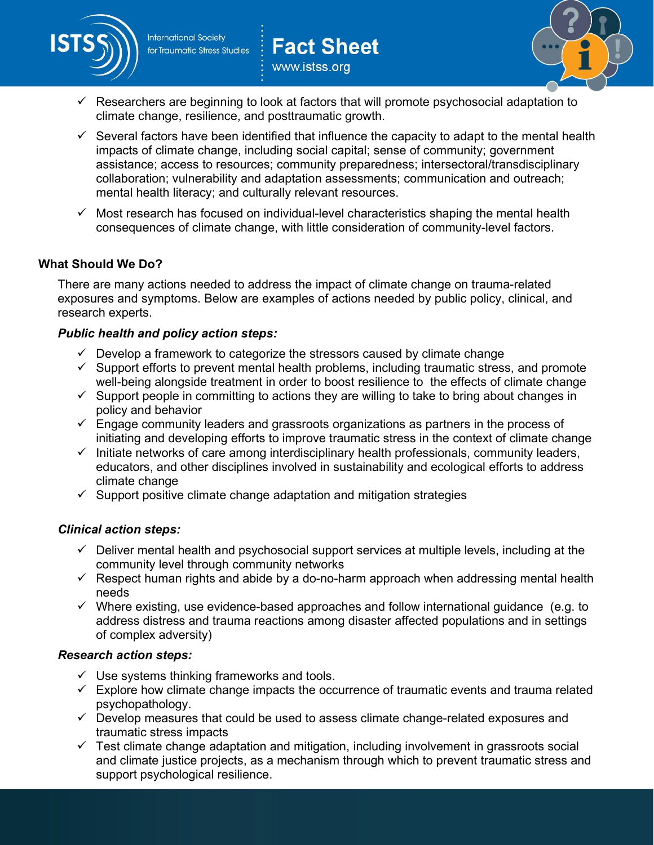

www.istss.org



 $\checkmark$  Researchers are beginning to look at factors that will promote psychosocial adaptation to climate change, resilience, and posttraumatic growth.

**Fact Sheet** 

- $\checkmark$  Several factors have been identified that influence the capacity to adapt to the mental health impacts of climate change, including social capital; sense of community; government assistance; access to resources; community preparedness; intersectoral/transdisciplinary collaboration; vulnerability and adaptation assessments; communication and outreach; mental health literacy; and culturally relevant resources.
- $\checkmark$  Most research has focused on individual-level characteristics shaping the mental health consequences of climate change, with little consideration of community-level factors.

## What Should We Do?

There are many actions needed to address the impact of climate change on trauma-related exposures and symptoms. Below are examples of actions needed by public policy, clinical, and research experts.

## Public health and policy action steps:

- $\checkmark$  Develop a framework to categorize the stressors caused by climate change
- $\checkmark$  Support efforts to prevent mental health problems, including traumatic stress, and promote well-being alongside treatment in order to boost resilience to the effects of climate change
- $\checkmark$  Support people in committing to actions they are willing to take to bring about changes in policy and behavior
- $\checkmark$  Engage community leaders and grassroots organizations as partners in the process of initiating and developing efforts to improve traumatic stress in the context of climate change
- $\checkmark$  Initiate networks of care among interdisciplinary health professionals, community leaders, educators, and other disciplines involved in sustainability and ecological efforts to address climate change
- $\checkmark$  Support positive climate change adaptation and mitigation strategies

## Clinical action steps:

- $\checkmark$  Deliver mental health and psychosocial support services at multiple levels, including at the community level through community networks
- $\checkmark$  Respect human rights and abide by a do-no-harm approach when addressing mental health needs
- $\checkmark$  Where existing, use evidence-based approaches and follow international quidance (e.g. to address distress and trauma reactions among disaster affected populations and in settings of complex adversity)

#### Research action steps:

- $\checkmark$  Use systems thinking frameworks and tools.
- $\checkmark$  Explore how climate change impacts the occurrence of traumatic events and trauma related psychopathology.
- $\checkmark$  Develop measures that could be used to assess climate change-related exposures and traumatic stress impacts
- $\checkmark$  Test climate change adaptation and mitigation, including involvement in grassroots social and climate justice projects, as a mechanism through which to prevent traumatic stress and support psychological resilience.